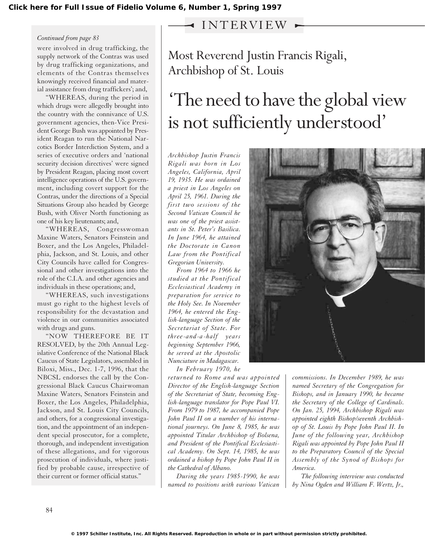## INTERVIEW

## *Continued from page 83*

were involved in drug trafficking, the supply network of the Contras was used by drug trafficking organizations, and elements of the Contras themselves knowingly received financial and material assistance from drug traffickers'; and,

"WHEREAS, during the period in which drugs were allegedly brought into the country with the connivance of U.S. government agencies, then-Vice President George Bush was appointed by President Reagan to run the National Narcotics Border Interdiction System, and a series of executive orders and 'national security decision directives' were signed by President Reagan, placing most covert intelligence operations of the U.S. government, including covert support for the Contras, under the directions of a Special Situations Group also headed by George Bush, with Oliver North functioning as one of his key lieutenants; and,

"WHEREAS, Congresswoman Maxine Waters, Senators Feinstein and Boxer, and the Los Angeles, Philadelphia, Jackson, and St. Louis, and other City Councils have called for Congressional and other investigations into the role of the C.I.A. and other agencies and individuals in these operations; and,

"WHEREAS, such investigations must go right to the highest levels of responsibility for the devastation and violence in our communities associated with drugs and guns.

"NOW THEREFORE BE IT RESOLVED, by the 20th Annual Legislative Conference of the National Black Caucus of State Legislators, assembled in Biloxi, Miss., Dec. 1-7, 1996, that the NBCSL endorses the call by the Congressional Black Caucus Chairwoman Maxine Waters, Senators Feinstein and Boxer, the Los Angeles, Philadelphia, Jackson, and St. Louis City Councils, and others, for a congressional investigation, and the appointment of an independent special prosecutor, for a complete, thorough, and independent investigation of these allegations, and for vigorous prosecution of individuals, where justified by probable cause, irrespective of their current or former official status."

Most Reverend Justin Francis Rigali, Archbishop of St. Louis

## 'The need to have the global view is not sufficiently understood'

*Archbishop Justin Francis Rigali was born in Los Angeles, California, April 19, 1935. He was ordained a priest in Los Angeles on April 25, 1961. During the first two sessions of the Second Vatican Council he was one of the priest assistants in St. Peter's Basilica. In June 1964, he attained the Doctorate in Canon Law from the Pontifical Gregorian University.*

*From 1964 to 1966 he studied at the Pontifical Ecclesiastical Academy in preparation for service to the Holy See. In November 1964, he entered the English-language Section of the Secretariat of State. For three-and-a-half years beginning September 1966, he served at the Apostolic Nunciature in Madagascar.*

*In February 1970, he*

*returned to Rome and was appointed Director of the English-language Section of the Secretariat of State, becoming English-language translator for Pope Paul VI. From 1979 to 1987, he accompanied Pope John Paul II on a number of his international journeys. On June 8, 1985, he was appointed Titular Archbishop of Bolsena, and President of the Pontifical Ecclesiastical Academy. On Sept. 14, 1985, he was ordained a bishop by Pope John Paul II in the Cathedral of Albano.*

*During the years 1985-1990, he was named to positions with various Vatican*



*commissions. In December 1989, he was named Secretary of the Congregation for Bishops, and in January 1990, he became the Secretary of the College of Cardinals. On Jan. 25, 1994, Archbishop Rigali was appointed eighth Bishop/seventh Archbishop of St. Louis by Pope John Paul II. In June of the following year, Archbishop Rigali was appointed by Pope John Paul II to the Preparatory Council of the Special Assembly of the Synod of Bishops for America.*

*The following interview was conducted by Nina Ogden and William F. Wertz, Jr.,*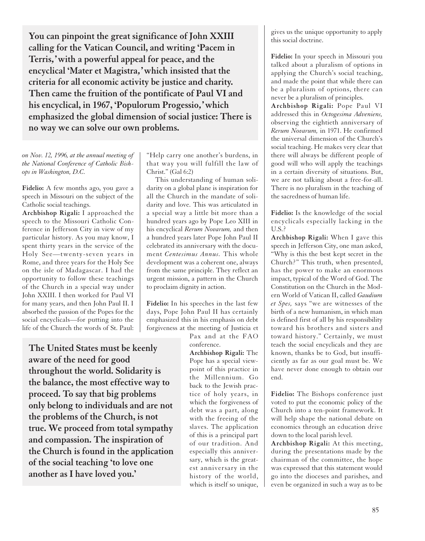**You can pinpoint the great significance of John XXIII calling for the Vatican Council, and writing 'Pacem in Terris,' with a powerful appeal for peace, and the encyclical 'Mater et Magistra,' which insisted that the criteria for all economic activity be justice and charity. Then came the fruition of the pontificate of Paul VI and his encyclical, in 1967, 'Populorum Progessio,' which emphasized the global dimension of social justice: There is no way we can solve our own problems.** 

*on Nov. 12, 1996, at the annual meeting of the National Conference of Catholic Bishops in Washington, D.C.*

**Fidelio:** A few months ago, you gave a speech in Missouri on the subject of the Catholic social teachings.

**Archbishop Rigali:** I approached the speech to the Missouri Catholic Conference in Jefferson City in view of my particular history. As you may know, I spent thirty years in the service of the Holy See—twenty-seven years in Rome, and three years for the Holy See on the isle of Madagascar. I had the opportunity to follow these teachings of the Church in a special way under John XXIII. I then worked for Paul VI for many years, and then John Paul II. I absorbed the passion of the Popes for the social encyclicals—for putting into the life of the Church the words of St. Paul: "Help carry one another's burdens, in that way you will fulfill the law of Christ." (Gal 6:2)

This understanding of human solidarity on a global plane is inspiration for all the Church in the mandate of solidarity and love. This was articulated in a special way a little bit more than a hundred years ago by Pope Leo XIII in his encyclical *Rerum Novarum,* and then a hundred years later Pope John Paul II celebrated its anniversary with the document *Centesimus Annus.* This whole development was a coherent one, always from the same principle. They reflect an urgent mission, a pattern in the Church to proclaim dignity in action.

**Fidelio:** In his speeches in the last few days, Pope John Paul II has certainly emphasized this in his emphasis on debt forgiveness at the meeting of Justicia et

> Pax and at the FAO conference.

**The United States must be keenly aware of the need for good throughout the world. Solidarity is the balance, the most effective way to proceed. To say that big problems only belong to individuals and are not the problems of the Church, is not true. We proceed from total sympathy and compassion. The inspiration of the Church is found in the application of the social teaching 'to love one another as I have loved you.'**

**Archbishop Rigali:** The Pope has a special viewpoint of this practice in the Millennium. Go back to the Jewish practice of holy years, in which the forgiveness of debt was a part, along with the freeing of the slaves. The application of this is a principal part of our tradition. And especially this anniversary, which is the greatest anniversary in the history of the world, which is itself so unique, gives us the unique opportunity to apply this social doctrine.

**Fidelio:** In your speech in Missouri you talked about a pluralism of options in applying the Church's social teaching, and made the point that while there can be a pluralism of options, there can never be a pluralism of principles.

**Archbishop Rigali:** Pope Paul VI addressed this in *Octogesima Adveniens,* observing the eightieth anniversary of *Rerum Novarum,* in 1971. He confirmed the universal dimension of the Church's social teaching. He makes very clear that there will always be different people of good will who will apply the teachings in a certain diversity of situations. But, we are not talking about a free-for-all. There is no pluralism in the teaching of the sacredness of human life.

**Fidelio:** Is the knowledge of the social encyclicals especially lacking in the U.S.?

**Archbishop Rigali:** When I gave this speech in Jefferson City, one man asked, "Why is this the best kept secret in the Church?" This truth, when presented, has the power to make an enormous impact, typical of the Word of God. The Constitution on the Church in the Modern World of Vatican II, called *Gaudium et Spes,* says "we are witnesses of the birth of a new humanism, in which man is defined first of all by his responsibility toward his brothers and sisters and toward history." Certainly, we must teach the social encyclicals and they are known, thanks be to God, but insufficiently as far as our goal must be. We have never done enough to obtain our end.

**Fidelio:** The Bishops conference just voted to put the economic policy of the Church into a ten-point framework. It will help shape the national debate on economics through an education drive down to the local parish level.

**Archbishop Rigali:** At this meeting, during the presentations made by the chairman of the committee, the hope was expressed that this statement would go into the dioceses and parishes, and even be organized in such a way as to be